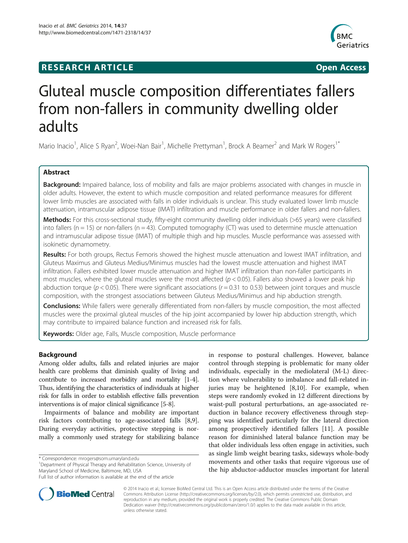## **RESEARCH ARTICLE Example 2014 12:30 The SEAR CHA RTICLE**



# Gluteal muscle composition differentiates fallers from non-fallers in community dwelling older adults

Mario Inacio<sup>1</sup>, Alice S Ryan<sup>2</sup>, Woei-Nan Bair<sup>1</sup>, Michelle Prettyman<sup>1</sup>, Brock A Beamer<sup>2</sup> and Mark W Rogers<sup>1\*</sup>

## Abstract

Background: Impaired balance, loss of mobility and falls are major problems associated with changes in muscle in older adults. However, the extent to which muscle composition and related performance measures for different lower limb muscles are associated with falls in older individuals is unclear. This study evaluated lower limb muscle attenuation, intramuscular adipose tissue (IMAT) infiltration and muscle performance in older fallers and non-fallers.

Methods: For this cross-sectional study, fifty-eight community dwelling older individuals (>65 years) were classified into fallers ( $n = 15$ ) or non-fallers ( $n = 43$ ). Computed tomography (CT) was used to determine muscle attenuation and intramuscular adipose tissue (IMAT) of multiple thigh and hip muscles. Muscle performance was assessed with isokinetic dynamometry.

Results: For both groups, Rectus Femoris showed the highest muscle attenuation and lowest IMAT infiltration, and Gluteus Maximus and Gluteus Medius/Minimus muscles had the lowest muscle attenuation and highest IMAT infiltration. Fallers exhibited lower muscle attenuation and higher IMAT infiltration than non-faller participants in most muscles, where the gluteal muscles were the most affected  $(p < 0.05)$ . Fallers also showed a lower peak hip abduction torque ( $p < 0.05$ ). There were significant associations ( $r = 0.31$  to 0.53) between joint torques and muscle composition, with the strongest associations between Gluteus Medius/Minimus and hip abduction strength.

**Conclusions:** While fallers were generally differentiated from non-fallers by muscle composition, the most affected muscles were the proximal gluteal muscles of the hip joint accompanied by lower hip abduction strength, which may contribute to impaired balance function and increased risk for falls.

Keywords: Older age, Falls, Muscle composition, Muscle performance

## Background

Among older adults, falls and related injuries are major health care problems that diminish quality of living and contribute to increased morbidity and mortality [\[1](#page-6-0)-[4](#page-6-0)]. Thus, identifying the characteristics of individuals at higher risk for falls in order to establish effective falls prevention interventions is of major clinical significance [[5](#page-6-0)-[8\]](#page-6-0).

Impairments of balance and mobility are important risk factors contributing to age-associated falls [\[8,9](#page-6-0)]. During everyday activities, protective stepping is normally a commonly used strategy for stabilizing balance

<sup>1</sup>Department of Physical Therapy and Rehabilitation Science, University of Maryland School of Medicine, Baltimore, MD, USA

in response to postural challenges. However, balance control through stepping is problematic for many older individuals, especially in the mediolateral (M-L) direction where vulnerability to imbalance and fall-related injuries may be heightened [[8,10\]](#page-6-0). For example, when steps were randomly evoked in 12 different directions by waist-pull postural perturbations, an age-associated reduction in balance recovery effectiveness through stepping was identified particularly for the lateral direction among prospectively identified fallers [\[11](#page-7-0)]. A possible reason for diminished lateral balance function may be that older individuals less often engage in activities, such as single limb weight bearing tasks, sideways whole-body movements and other tasks that require vigorous use of the hip abductor-adductor muscles important for lateral



© 2014 Inacio et al.; licensee BioMed Central Ltd. This is an Open Access article distributed under the terms of the Creative Commons Attribution License [\(http://creativecommons.org/licenses/by/2.0\)](http://creativecommons.org/licenses/by/2.0), which permits unrestricted use, distribution, and reproduction in any medium, provided the original work is properly credited. The Creative Commons Public Domain Dedication waiver [\(http://creativecommons.org/publicdomain/zero/1.0/](http://creativecommons.org/publicdomain/zero/1.0/)) applies to the data made available in this article, unless otherwise stated.

<sup>\*</sup> Correspondence: [mrogers@som.umaryland.edu](mailto:mrogers@som.umaryland.edu) <sup>1</sup>

Full list of author information is available at the end of the article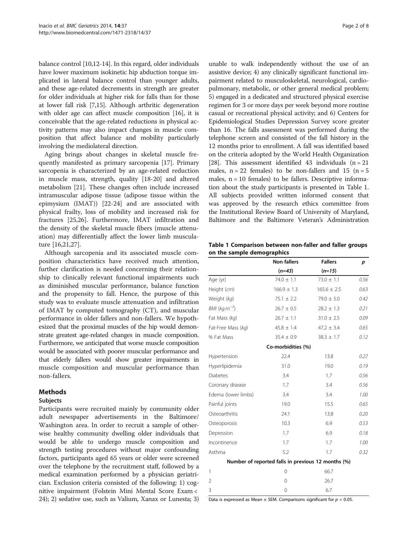<span id="page-1-0"></span>balance control [[10,](#page-6-0)[12](#page-7-0)-[14](#page-7-0)]. In this regard, older individuals have lower maximum isokinetic hip abduction torque implicated in lateral balance control than younger adults, and these age-related decrements in strength are greater for older individuals at higher risk for falls than for those at lower fall risk [[7,](#page-6-0)[15](#page-7-0)]. Although arthritic degeneration with older age can affect muscle composition [\[16\]](#page-7-0), it is conceivable that the age-related reductions in physical activity patterns may also impact changes in muscle composition that affect balance and mobility particularly involving the mediolateral direction.

Aging brings about changes in skeletal muscle frequently manifested as primary sarcopenia [[17\]](#page-7-0). Primary sarcopenia is characterized by an age-related reduction in muscle mass, strength, quality [\[18](#page-7-0)-[20](#page-7-0)] and altered metabolism [[21\]](#page-7-0). These changes often include increased intramuscular adipose tissue (adipose tissue within the epimysium (IMAT)) [\[22-24](#page-7-0)] and are associated with physical frailty, loss of mobility and increased risk for fractures [\[25,26](#page-7-0)]. Furthermore, IMAT infiltration and the density of the skeletal muscle fibers (muscle attenuation) may differentially affect the lower limb musculature [\[16,21,27](#page-7-0)].

Although sarcopenia and its associated muscle composition characteristics have received much attention, further clarification is needed concerning their relationship to clinically relevant functional impairments such as diminished muscular performance, balance function and the propensity to fall. Hence, the purpose of this study was to evaluate muscle attenuation and infiltration of IMAT by computed tomography (CT), and muscular performance in older fallers and non-fallers. We hypothesized that the proximal muscles of the hip would demonstrate greatest age-related changes in muscle composition. Furthermore, we anticipated that worse muscle composition would be associated with poorer muscular performance and that elderly fallers would show greater impairments in muscle composition and muscular performance than non-fallers.

## Methods

#### Subjects

Participants were recruited mainly by community older adult newspaper advertisements in the Baltimore/ Washington area. In order to recruit a sample of otherwise healthy community dwelling older individuals that would be able to undergo muscle composition and strength testing procedures without major confounding factors, participants aged 65 years or older were screened over the telephone by the recruitment staff, followed by a medical examination performed by a physician geriatrician. Exclusion criteria consisted of the following: 1) cognitive impairment (Folstein Mini Mental Score Exam < 24); 2) sedative use, such as Valium, Xanax or Lunesta; 3)

unable to walk independently without the use of an assistive device; 4) any clinically significant functional impairment related to musculoskeletal, neurological, cardiopulmonary, metabolic, or other general medical problem; 5) engaged in a dedicated and structured physical exercise regimen for 3 or more days per week beyond more routine casual or recreational physical activity; and 6) Centers for Epidemiological Studies Depression Survey score greater than 16. The falls assessment was performed during the telephone screen and consisted of the fall history in the 12 months prior to enrollment. A fall was identified based on the criteria adopted by the World Health Organization [[28](#page-7-0)]. This assessment identified 43 individuals  $(n = 21)$ males,  $n = 22$  females) to be non-fallers and 15 ( $n = 5$ males,  $n = 10$  females) to be fallers. Descriptive information about the study participants is presented in Table 1. All subjects provided written informed consent that was approved by the research ethics committee from the Institutional Review Board of University of Maryland, Baltimore and the Baltimore Veteran's Administration

Table 1 Comparison between non-faller and faller groups on the sample demographics

|                     | <b>Non-fallers</b>                                 | <b>Fallers</b>  | p    |
|---------------------|----------------------------------------------------|-----------------|------|
|                     | $(n=43)$                                           | $(n=15)$        |      |
| Age (yr)            | $74.0 \pm 1.1$                                     | $73.0 \pm 1.1$  | 0.56 |
| Height (cm)         | $166.9 \pm 1.3$                                    | $165.6 \pm 2.5$ | 0.63 |
| Weight (kg)         | $75.1 \pm 2.2$                                     | $79.0 \pm 5.0$  | 0.42 |
| BMI (kg.m $^{-2}$ ) | $26.7 \pm 0.5$                                     | $28.2 \pm 1.3$  | 0.21 |
| Fat Mass (kg)       | $26.7 \pm 1.1$                                     | $31.0 \pm 2.5$  | 0.09 |
| Fat-Free Mass (kg)  | $45.8 \pm 1.4$                                     | $47.2 \pm 3.4$  | 0.65 |
| % Fat Mass          | $35.4 \pm 0.9$                                     | $38.3 \pm 1.7$  | 0.12 |
|                     | Co-morbidities (%)                                 |                 |      |
| Hypertension        | 22.4                                               | 13.8            | 0.27 |
| Hyperlipidemia      | 31.0                                               | 19.0            | 0.19 |
| Diabetes            | 3.4                                                | 1.7             | 0.56 |
| Coronary disease    | 1.7                                                | 3.4             | 0.56 |
| Edema (lower limbs) | 3.4                                                | 3.4             | 1.00 |
| Painful joints      | 19.0                                               | 15.5            | 0.65 |
| Osteoarthritis      | 24.1                                               | 13.8            | 0.20 |
| Osteoporosis        | 10.3                                               | 6.9             | 0.53 |
| Depression          | 1.7                                                | 6.9             | 0.18 |
| Incontinence        | 1.7                                                | 1.7             | 1.00 |
| Asthma              | 5.2                                                | 1.7             | 0.32 |
|                     | Number of reported falls in previous 12 months (%) |                 |      |
| 1                   | 0                                                  | 66.7            |      |
| 2                   | $\Omega$                                           | 26.7            |      |
| 3                   | 0                                                  | 6.7             |      |

Data is expressed as Mean  $\pm$  SEM. Comparisons significant for  $p < 0.05$ .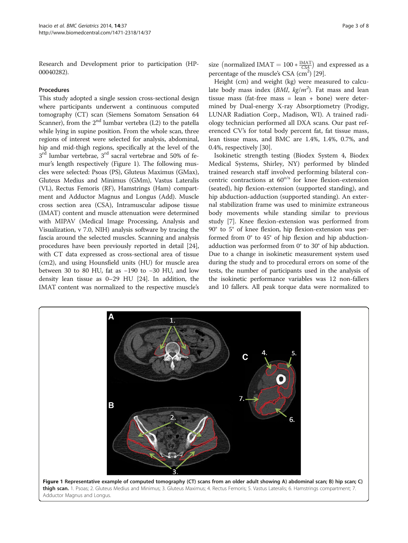Research and Development prior to participation (HP-00040282).

#### Procedures

This study adopted a single session cross-sectional design where participants underwent a continuous computed tomography (CT) scan (Siemens Somatom Sensation 64 Scanner), from the  $2<sup>nd</sup>$  lumbar vertebra (L2) to the patella while lying in supine position. From the whole scan, three regions of interest were selected for analysis, abdominal, hip and mid-thigh regions, specifically at the level of the 3<sup>rd</sup> lumbar vertebrae, 3<sup>rd</sup> sacral vertebrae and 50% of femur's length respectively (Figure 1). The following muscles were selected: Psoas (PS), Gluteus Maximus (GMax), Gluteus Medius and Minimus (GMm), Vastus Lateralis (VL), Rectus Femoris (RF), Hamstrings (Ham) compartment and Adductor Magnus and Longus (Add). Muscle cross section area (CSA), Intramuscular adipose tissue (IMAT) content and muscle attenuation were determined with MIPAV (Medical Image Processing, Analysis and Visualization, v 7.0, NIH) analysis software by tracing the fascia around the selected muscles. Scanning and analysis procedures have been previously reported in detail [[24](#page-7-0)], with CT data expressed as cross-sectional area of tissue (cm2), and using Hounsfield units (HU) for muscle area between 30 to 80 HU, fat as −190 to −30 HU, and low density lean tissue as 0–29 HU [\[24\]](#page-7-0). In addition, the IMAT content was normalized to the respective muscle's size (normalized IMAT = 100  $*\frac{IMAT}{CSA}$ ) and expressed as a normalized of the muscles CSA (cm<sup>2</sup>) [20] percentage of the muscle's CSA (cm<sup>2</sup>) [[29](#page-7-0)].

Height (cm) and weight (kg) were measured to calculate body mass index (*BMI*, *kg*/*m*<sup>2</sup>). Fat mass and lean<br>tissue mass (fat-free mass – lean + bone) were detertissue mass (fat-free mass  $=$  lean  $+$  bone) were determined by Dual-energy X-ray Absorptiometry (Prodigy, LUNAR Radiation Corp., Madison, WI). A trained radiology technician performed all DXA scans. Our past referenced CV's for total body percent fat, fat tissue mass, lean tissue mass, and BMC are 1.4%, 1.4%, 0.7%, and 0.4%, respectively [\[30](#page-7-0)].

Isokinetic strength testing (Biodex System 4, Biodex Medical Systems, Shirley, NY) performed by blinded trained research staff involved performing bilateral concentric contractions at  $60^{\circ/s}$  for knee flexion-extension (seated), hip flexion-extension (supported standing), and hip abduction-adduction (supported standing). An external stabilization frame was used to minimize extraneous body movements while standing similar to previous study [[7\]](#page-6-0). Knee flexion-extension was performed from 90° to 5° of knee flexion, hip flexion-extension was performed from 0° to 45° of hip flexion and hip abductionadduction was performed from 0° to 30° of hip abduction. Due to a change in isokinetic measurement system used during the study and to procedural errors on some of the tests, the number of participants used in the analysis of the isokinetic performance variables was 12 non-fallers and 10 fallers. All peak torque data were normalized to

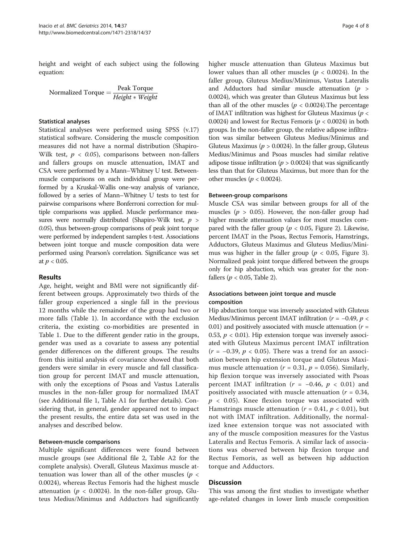height and weight of each subject using the following equation:

$$
Normalized Torque = \frac{Peak Torque}{Height * Weight}
$$

#### Statistical analyses

Statistical analyses were performed using SPSS (v.17) statistical software. Considering the muscle composition measures did not have a normal distribution (Shapiro-Wilk test,  $p < 0.05$ ), comparisons between non-fallers and fallers groups on muscle attenuation, IMAT and CSA were performed by a Mann–Whitney U test. Betweenmuscle comparisons on each individual group were performed by a Kruskal-Wallis one-way analysis of variance, followed by a series of Mann–Whitney U tests to test for pairwise comparisons where Bonferroni correction for multiple comparisons was applied. Muscle performance measures were normally distributed (Shapiro-Wilk test,  $p >$ 0.05), thus between-group comparisons of peak joint torque were performed by independent samples t-test. Associations between joint torque and muscle composition data were performed using Pearson's correlation. Significance was set at  $p < 0.05$ .

#### Results

Age, height, weight and BMI were not significantly different between groups. Approximately two thirds of the faller group experienced a single fall in the previous 12 months while the remainder of the group had two or more falls (Table [1](#page-1-0)). In accordance with the exclusion criteria, the existing co-morbidities are presented in Table [1](#page-1-0). Due to the different gender ratio in the groups, gender was used as a covariate to assess any potential gender differences on the different groups. The results from this initial analysis of covariance showed that both genders were similar in every muscle and fall classification group for percent IMAT and muscle attenuation, with only the exceptions of Psoas and Vastus Lateralis muscles in the non-faller group for normalized IMAT (see Additional file [1,](#page-6-0) Table A1 for further details). Considering that, in general, gender appeared not to impact the present results, the entire data set was used in the analyses and described below.

## Between-muscle comparisons

Multiple significant differences were found between muscle groups (see Additional file [2](#page-6-0), Table A2 for the complete analysis). Overall, Gluteus Maximus muscle attenuation was lower than all of the other muscles ( $p <$ 0.0024), whereas Rectus Femoris had the highest muscle attenuation ( $p < 0.0024$ ). In the non-faller group, Gluteus Medius/Minimus and Adductors had significantly higher muscle attenuation than Gluteus Maximus but lower values than all other muscles ( $p < 0.0024$ ). In the faller group, Gluteus Medius/Minimus, Vastus Lateralis and Adductors had similar muscle attenuation ( $p >$ 0.0024), which was greater than Gluteus Maximus but less than all of the other muscles ( $p < 0.0024$ ). The percentage of IMAT infiltration was highest for Gluteus Maximus ( $p <$ 0.0024) and lowest for Rectus Femoris ( $p < 0.0024$ ) in both groups. In the non-faller group, the relative adipose infiltration was similar between Gluteus Medius/Minimus and Gluteus Maximus ( $p > 0.0024$ ). In the faller group, Gluteus Medius/Minimus and Psoas muscles had similar relative adipose tissue infiltration ( $p > 0.0024$ ) that was significantly less than that for Gluteus Maximus, but more than for the other muscles ( $p < 0.0024$ ).

#### Between-group comparisons

Muscle CSA was similar between groups for all of the muscles ( $p > 0.05$ ). However, the non-faller group had higher muscle attenuation values for most muscles compared with the faller group ( $p < 0.05$ , Figure [2\)](#page-4-0). Likewise, percent IMAT in the Psoas, Rectus Femoris, Hamstrings, Adductors, Gluteus Maximus and Gluteus Medius/Minimus was higher in the faller group ( $p < 0.05$ , Figure [3](#page-4-0)). Normalized peak joint torque differed between the groups only for hip abduction, which was greater for the nonfallers ( $p < 0.05$ , Table [2](#page-5-0)).

### Associations between joint torque and muscle composition

Hip abduction torque was inversely associated with Gluteus Medius/Minimus percent IMAT infiltration ( $r = -0.49$ ,  $p <$ 0.01) and positively associated with muscle attenuation  $(r =$ 0.53,  $p < 0.01$ ). Hip extension torque was inversely associated with Gluteus Maximus percent IMAT infiltration  $(r = -0.39, p < 0.05)$ . There was a trend for an association between hip extension torque and Gluteus Maximus muscle attenuation ( $r = 0.31$ ,  $p = 0.056$ ). Similarly, hip flexion torque was inversely associated with Psoas percent IMAT infiltration ( $r = -0.46$ ,  $p < 0.01$ ) and positively associated with muscle attenuation ( $r = 0.34$ ,  $p < 0.05$ ). Knee flexion torque was associated with Hamstrings muscle attenuation ( $r = 0.41$ ,  $p < 0.01$ ), but not with IMAT infiltration. Additionally, the normalized knee extension torque was not associated with any of the muscle composition measures for the Vastus Lateralis and Rectus Femoris. A similar lack of associations was observed between hip flexion torque and Rectus Femoris, as well as between hip adduction torque and Adductors.

#### Discussion

This was among the first studies to investigate whether age-related changes in lower limb muscle composition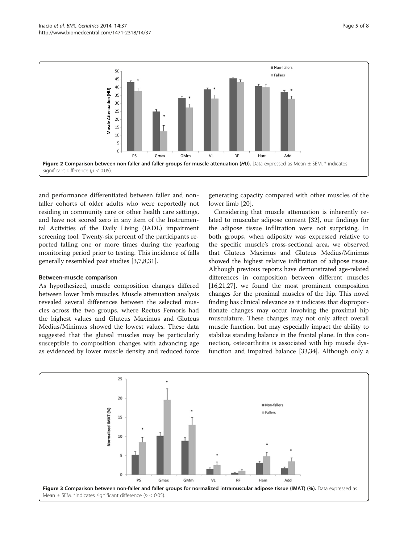<span id="page-4-0"></span>

and performance differentiated between faller and nonfaller cohorts of older adults who were reportedly not residing in community care or other health care settings, and have not scored zero in any item of the Instrumental Activities of the Daily Living (IADL) impairment screening tool. Twenty-six percent of the participants reported falling one or more times during the yearlong monitoring period prior to testing. This incidence of falls generally resembled past studies [[3,7,8,](#page-6-0)[31\]](#page-7-0).

#### Between-muscle comparison

As hypothesized, muscle composition changes differed between lower limb muscles. Muscle attenuation analysis revealed several differences between the selected muscles across the two groups, where Rectus Femoris had the highest values and Gluteus Maximus and Gluteus Medius/Minimus showed the lowest values. These data suggested that the gluteal muscles may be particularly susceptible to composition changes with advancing age as evidenced by lower muscle density and reduced force

generating capacity compared with other muscles of the lower limb [[20\]](#page-7-0).

Considering that muscle attenuation is inherently related to muscular adipose content [[32\]](#page-7-0), our findings for the adipose tissue infiltration were not surprising. In both groups, when adiposity was expressed relative to the specific muscle's cross-sectional area, we observed that Gluteus Maximus and Gluteus Medius/Minimus showed the highest relative infiltration of adipose tissue. Although previous reports have demonstrated age-related differences in composition between different muscles [[16](#page-7-0),[21,27\]](#page-7-0), we found the most prominent composition changes for the proximal muscles of the hip. This novel finding has clinical relevance as it indicates that disproportionate changes may occur involving the proximal hip musculature. These changes may not only affect overall muscle function, but may especially impact the ability to stabilize standing balance in the frontal plane. In this connection, osteoarthritis is associated with hip muscle dysfunction and impaired balance [\[33,34\]](#page-7-0). Although only a

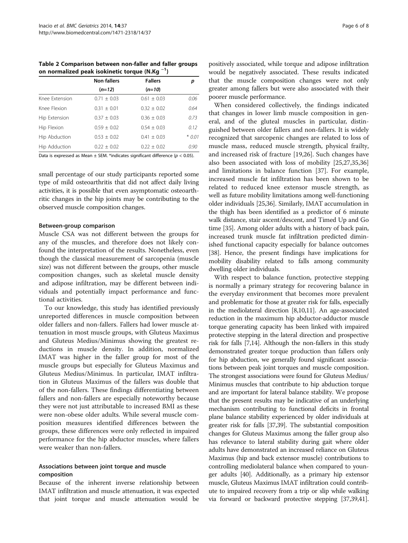<span id="page-5-0"></span>Table 2 Comparison between non-faller and faller groups on normalized peak isokinetic torque (N.Kg  $^{\rm -1})$ 

|                | <b>Non-fallers</b><br>$(n=12)$ | <b>Fallers</b><br>$(n=10)$ | р       |
|----------------|--------------------------------|----------------------------|---------|
|                |                                |                            |         |
| Knee Extension | $0.71 + 0.03$                  | $0.61 + 0.03$              | 0.06    |
| Knee Flexion   | $0.31 + 0.01$                  | $0.32 + 0.02$              | 0.64    |
| Hip Extension  | $0.37 + 0.03$                  | $0.36 \pm 0.03$            | 0.73    |
| Hip Flexion    | $0.59 + 0.02$                  | $0.54 + 0.03$              | 0.12    |
| Hip Abduction  | $0.53 + 0.02$                  | $0.41 + 0.03$              | $*0.01$ |
| Hip Adduction  | $0.22 \pm 0.02$                | $0.22 + 0.02$              | 0.90    |

Data is expressed as Mean  $\pm$  SEM. \*indicates significant difference ( $p < 0.05$ ).

small percentage of our study participants reported some type of mild osteoarthritis that did not affect daily living activities, it is possible that even asymptomatic osteoarthritic changes in the hip joints may be contributing to the observed muscle composition changes.

#### Between-group comparison

Muscle CSA was not different between the groups for any of the muscles, and therefore does not likely confound the interpretation of the results. Nonetheless, even though the classical measurement of sarcopenia (muscle size) was not different between the groups, other muscle composition changes, such as skeletal muscle density and adipose infiltration, may be different between individuals and potentially impact performance and functional activities.

To our knowledge, this study has identified previously unreported differences in muscle composition between older fallers and non-fallers. Fallers had lower muscle attenuation in most muscle groups, with Gluteus Maximus and Gluteus Medius/Minimus showing the greatest reductions in muscle density. In addition, normalized IMAT was higher in the faller group for most of the muscle groups but especially for Gluteus Maximus and Gluteus Medius/Minimus. In particular, IMAT infiltration in Gluteus Maximus of the fallers was double that of the non-fallers. These findings differentiating between fallers and non-fallers are especially noteworthy because they were not just attributable to increased BMI as these were non-obese older adults. While several muscle composition measures identified differences between the groups, these differences were only reflected in impaired performance for the hip abductor muscles, where fallers were weaker than non-fallers.

#### Associations between joint torque and muscle composition

Because of the inherent inverse relationship between IMAT infiltration and muscle attenuation, it was expected that joint torque and muscle attenuation would be positively associated, while torque and adipose infiltration would be negatively associated. These results indicated that the muscle composition changes were not only greater among fallers but were also associated with their poorer muscle performance.

When considered collectively, the findings indicated that changes in lower limb muscle composition in general, and of the gluteal muscles in particular, distinguished between older fallers and non-fallers. It is widely recognized that sarcopenic changes are related to loss of muscle mass, reduced muscle strength, physical frailty, and increased risk of fracture [\[19,26](#page-7-0)]. Such changes have also been associated with loss of mobility [[25,27](#page-7-0),[35](#page-7-0),[36](#page-7-0)] and limitations in balance function [[37](#page-7-0)]. For example, increased muscle fat infiltration has been shown to be related to reduced knee extensor muscle strength, as well as future mobility limitations among well-functioning older individuals [\[25,36](#page-7-0)]. Similarly, IMAT accumulation in the thigh has been identified as a predictor of 6 minute walk distance, stair ascent/descent, and Timed Up and Go time [[35](#page-7-0)]. Among older adults with a history of back pain, increased trunk muscle fat infiltration predicted diminished functional capacity especially for balance outcomes [[38](#page-7-0)]. Hence, the present findings have implications for mobility disability related to falls among community dwelling older individuals.

With respect to balance function, protective stepping is normally a primary strategy for recovering balance in the everyday environment that becomes more prevalent and problematic for those at greater risk for falls, especially in the mediolateral direction [[8,10](#page-6-0)[,11\]](#page-7-0). An age-associated reduction in the maximum hip abductor-adductor muscle torque generating capacity has been linked with impaired protective stepping in the lateral direction and prospective risk for falls [\[7,](#page-6-0)[14](#page-7-0)]. Although the non-fallers in this study demonstrated greater torque production than fallers only for hip abduction, we generally found significant associations between peak joint torques and muscle composition. The strongest associations were found for Gluteus Medius/ Minimus muscles that contribute to hip abduction torque and are important for lateral balance stability. We propose that the present results may be indicative of an underlying mechanism contributing to functional deficits in frontal plane balance stability experienced by older individuals at greater risk for falls [\[37,39](#page-7-0)]. The substantial composition changes for Gluteus Maximus among the faller group also has relevance to lateral stability during gait where older adults have demonstrated an increased reliance on Gluteus Maximus (hip and back extensor muscle) contributions to controlling mediolateral balance when compared to younger adults [[40](#page-7-0)]. Additionally, as a primary hip extensor muscle, Gluteus Maximus IMAT infiltration could contribute to impaired recovery from a trip or slip while walking via forward or backward protective stepping [\[37,39,41](#page-7-0)].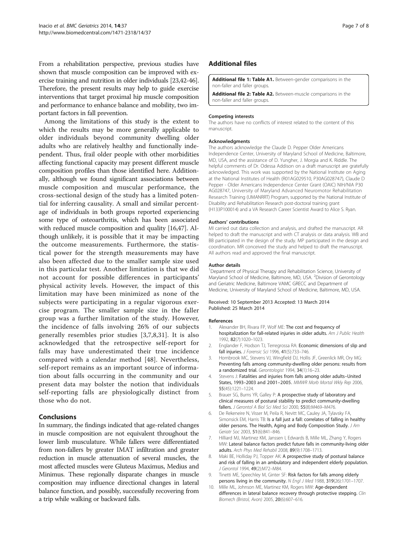<span id="page-6-0"></span>From a rehabilitation perspective, previous studies have shown that muscle composition can be improved with exercise training and nutrition in older individuals [\[23,42](#page-7-0)-[46](#page-7-0)]. Therefore, the present results may help to guide exercise interventions that target proximal hip muscle composition and performance to enhance balance and mobility, two important factors in fall prevention.

Among the limitations of this study is the extent to which the results may be more generally applicable to older individuals beyond community dwelling older adults who are relatively healthy and functionally independent. Thus, frail older people with other morbidities affecting functional capacity may present different muscle composition profiles than those identified here. Additionally, although we found significant associations between muscle composition and muscular performance, the cross-sectional design of the study has a limited potential for inferring causality. A small and similar percentage of individuals in both groups reported experiencing some type of osteoarthritis, which has been associated with reduced muscle composition and quality [\[16,47](#page-7-0)]. Although unlikely, it is possible that it may be impacting the outcome measurements. Furthermore, the statistical power for the strength measurements may have also been affected due to the smaller sample size used in this particular test. Another limitation is that we did not account for possible differences in participants' physical activity levels. However, the impact of this limitation may have been minimized as none of the subjects were participating in a regular vigorous exercise program. The smaller sample size in the faller group was a further limitation of the study. However, the incidence of falls involving 26% of our subjects generally resembles prior studies [3,7,8,[31\]](#page-7-0). It is also acknowledged that the retrospective self-report for falls may have underestimated their true incidence compared with a calendar method [\[48\]](#page-7-0). Nevertheless, self-report remains as an important source of information about falls occurring in the community and our present data may bolster the notion that individuals self-reporting falls are physiologically distinct from those who do not.

## Conclusions

In summary, the findings indicated that age-related changes in muscle composition are not equivalent throughout the lower limb musculature. While fallers were differentiated from non-fallers by greater IMAT infiltration and greater reduction in muscle attenuation of several muscles, the most affected muscles were Gluteus Maximus, Medius and Minimus. These regionally disparate changes in muscle composition may influence directional changes in lateral balance function, and possibly, successfully recovering from a trip while walking or backward falls.

## Additional files

[Additional file 1: Table A1.](http://www.biomedcentral.com/content/supplementary/1471-2318-14-37-S1.pdf) Between-gender comparisons in the non-faller and faller groups.

[Additional file 2: Table A2.](http://www.biomedcentral.com/content/supplementary/1471-2318-14-37-S2.pdf) Between-muscle comparisons in the non-faller and faller groups.

#### Competing interests

The authors have no conflicts of interest related to the content of this manuscript.

#### Acknowledgments

The authors acknowledge the Claude D. Pepper Older Americans Independence Center, University of Maryland School of Medicine, Baltimore, MD, USA, and the assistance of D. Yungher, J. Morgia and K. Riddle. The helpful comments of Dr. Odessa Addison on a draft manuscript are gratefully acknowledged. This work was supported by the National Institute on Aging at the National Institutes of Health (R01AG029510, P30AG028747), Claude D Pepper - Older Americans Independence Center Grant (OAIC) NIH/NIA P30 AG028747, University of Maryland Advanced Neuromotor Rehabilitation Research Training (UMANRRT) Program, supported by the National Institute of Disability and Rehabilitation Research post-doctoral training grant (H133P100014) and a VA Research Career Scientist Award to Alice S. Ryan.

#### Authors' contributions

MI carried out data collection and analysis, and drafted the manuscript. AR helped to draft the manuscript and with CT analysis or data analysis. WB and BB participated in the design of the study. MP participated in the design and coordination. MR conceived the study and helped to draft the manuscript. All authors read and approved the final manuscript.

#### Author details

<sup>1</sup>Department of Physical Therapy and Rehabilitation Science, University of Maryland School of Medicine, Baltimore, MD, USA. <sup>2</sup>Division of Gerontology and Geriatric Medicine, Baltimore VAMC GRECC and Department of Medicine, University of Maryland School of Medicine, Baltimore, MD, USA.

#### Received: 10 September 2013 Accepted: 13 March 2014 Published: 25 March 2014

#### References

- 1. Alexander BH, Rivara FP, Wolf ME: The cost and frequency of hospitalization for fall-related injuries in older adults. Am J Public Health 1992, 82(7):1020–1023.
- 2. Englander F, Hodson TJ, Terregrossa RA: Economic dimensions of slip and fall injuries. J Forensic Sci 1996, 41(5):733–746.
- 3. Hornbrook MC, Stevens VJ, Wingfield DJ, Hollis JF, Greenlick MR, Ory MG: Preventing falls among community-dwelling older persons: results from a randomized trial. Gerontologist 1994, 34(1):16–23.
- 4. Stevens J: Fatalities and injuries from falls among older adults–United States, 1993–2003 and 2001–2005. MMWR Morb Mortal Wkly Rep 2006, 55(45):1221–1224.
- 5. Brauer SG, Burns YR, Galley P: A prospective study of laboratory and clinical measures of postural stability to predict community-dwelling fallers. J Gerontol A Biol Sci Med Sci 2000, 55(8):M469–M476.
- 6. De Rekeneire N, Visser M, Peila R, Nevitt MC, Cauley JA, Tylavsky FA, Simonsick EM, Harris TB: Is a fall just a fall: correlates of falling in healthy older persons. The Health, Aging and Body Composition Study. J Am Geriatr Soc 2003, 51(6):841–846.
- 7. Hilliard MJ, Martinez KM, Janssen I, Edwards B, Mille ML, Zhang Y, Rogers MW: Lateral balance factors predict future falls in community-living older adults. Arch Phys Med Rehabil 2008, 89(9):1708–1713.
- 8. Maki BE, Holliday PJ, Topper AK: A prospective study of postural balance and risk of falling in an ambulatory and independent elderly population. J Gerontol 1994, 49(2):M72–M84.
- 9. Tinetti ME, Speechley M, Ginter SF: Risk factors for falls among elderly persons living in the community. N Engl J Med 1988, 319(26):1701–1707.
- 10. Mille ML, Johnson ME, Martinez KM, Rogers MW: Age-dependent differences in lateral balance recovery through protective stepping. Clin Biomech (Bristol, Avon) 2005, 20(6):607–616.